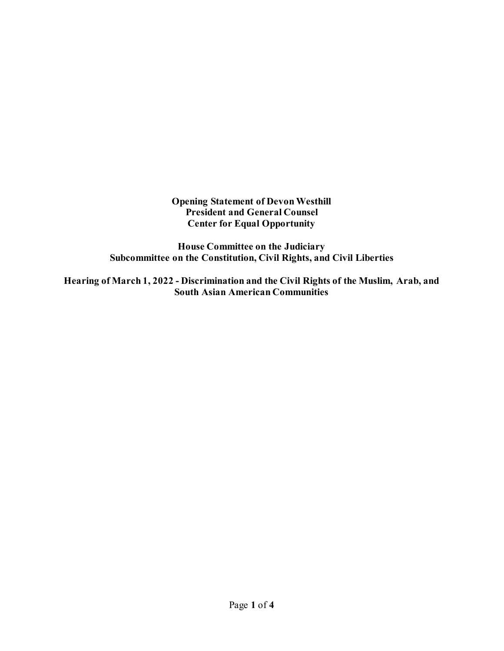**Opening Statement of Devon Westhill President and General Counsel Center for Equal Opportunity**

**House Committee on the Judiciary Subcommittee on the Constitution, Civil Rights, and Civil Liberties**

**Hearing of March 1, 2022 - Discrimination and the Civil Rights of the Muslim, Arab, and South Asian American Communities**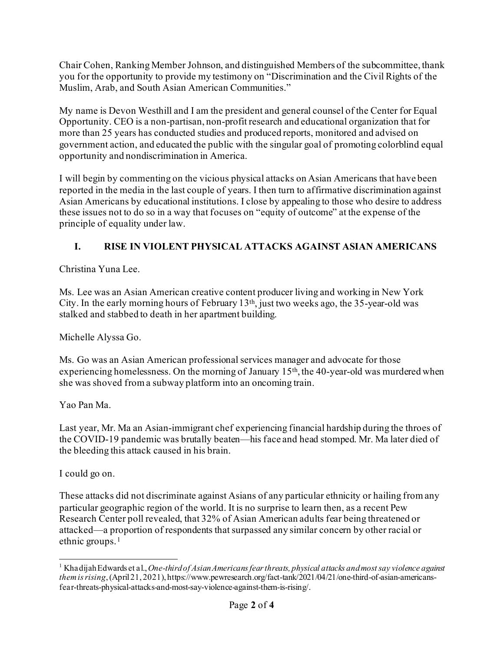Chair Cohen, Ranking Member Johnson, and distinguished Members of the subcommittee, thank you for the opportunity to provide my testimony on "Discrimination and the Civil Rights of the Muslim, Arab, and South Asian American Communities."

My name is Devon Westhill and I am the president and general counsel of the Center for Equal Opportunity. CEO is a non-partisan, non-profit research and educational organization that for more than 25 years has conducted studies and produced reports, monitored and advised on government action, and educated the public with the singular goal of promoting colorblind equal opportunity and nondiscrimination in America.

I will begin by commenting on the vicious physical attacks on Asian Americans that have been reported in the media in the last couple of years. I then turn to affirmative discrimination against Asian Americans by educational institutions. I close by appealing to those who desire to address these issues not to do so in a way that focuses on "equity of outcome" at the expense of the principle of equality under law.

## **I. RISE IN VIOLENT PHYSICAL ATTACKS AGAINST ASIAN AMERICANS**

Christina Yuna Lee.

Ms. Lee was an Asian American creative content producer living and working in New York City. In the early morning hours of February  $13<sup>th</sup>$ , just two weeks ago, the 35-year-old was stalked and stabbed to death in her apartment building.

Michelle Alyssa Go.

Ms. Go was an Asian American professional services manager and advocate for those experiencing homelessness. On the morning of January 15<sup>th</sup>, the 40-year-old was murdered when she was shoved from a subway platform into an oncoming train.

Yao Pan Ma.

Last year, Mr. Ma an Asian-immigrant chef experiencing financial hardship during the throes of the COVID-19 pandemic was brutally beaten—his face and head stomped. Mr. Ma later died of the bleeding this attack caused in his brain.

I could go on.

These attacks did not discriminate against Asians of any particular ethnicity or hailing from any particular geographic region of the world. It is no surprise to learn then, as a recent Pew Research Center poll revealed, that 32% of Asian American adults fear being threatened or attacked—a proportion of respondents that surpassed any similar concern by other racial or ethnic groups.[1](#page-1-0)

<span id="page-1-0"></span><sup>1</sup> Khadijah Edwards et al.,*One-third of Asian Americans fear threats, physical attacks and most say violence against them is rising*, (April 21, 2021), https://www.pewresearch.org/fact-tank/2021/04/21/one-third-of-asian-americansfear-threats-physical-attacks-and-most-say-violence-against-them-is-rising/.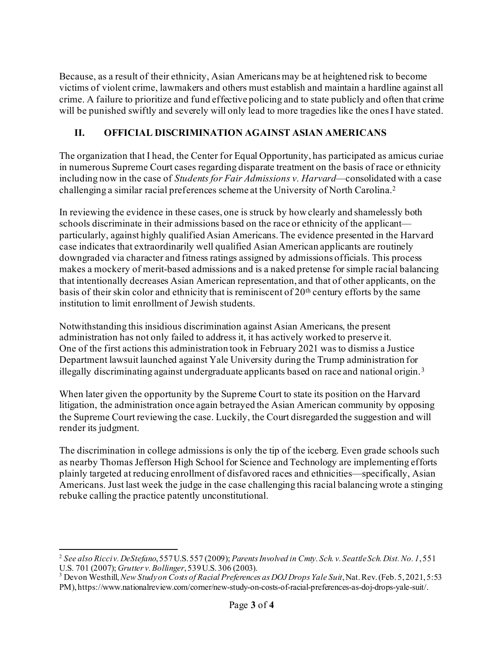Because, as a result of their ethnicity, Asian Americans may be at heightened risk to become victims of violent crime, lawmakers and others must establish and maintain a hardline against all crime. A failure to prioritize and fund effective policing and to state publicly and often that crime will be punished swiftly and severely will only lead to more tragedies like the ones I have stated.

## **II. OFFICIAL DISCRIMINATION AGAINST ASIAN AMERICANS**

The organization that I head, the Center for Equal Opportunity, has participated as amicus curiae in numerous Supreme Court cases regarding disparate treatment on the basis of race or ethnicity including now in the case of *Students for Fair Admissions v. Harvard*—consolidated with a case challenging a similar racial preferences scheme at the University of North Carolina.[2](#page-2-0)

In reviewing the evidence in these cases, one is struck by how clearly and shamelessly both schools discriminate in their admissions based on the race or ethnicity of the applicant particularly, against highly qualified Asian Americans. The evidence presented in the Harvard case indicates that extraordinarily well qualified Asian American applicants are routinely downgraded via character and fitness ratings assigned by admissions officials. This process makes a mockery of merit-based admissions and is a naked pretense for simple racial balancing that intentionally decreases Asian American representation, and that of other applicants, on the basis of their skin color and ethnicity that is reminiscent of  $20<sup>th</sup>$  century efforts by the same institution to limit enrollment of Jewish students.

Notwithstanding this insidious discrimination against Asian Americans, the present administration has not only failed to address it, it has actively worked to preserve it. One of the first actions this administration took in February 2021 was to dismiss a Justice Department lawsuit launched against Yale University during the Trump administration for illegally discriminating against undergraduate applicants based on race and national origin.[3](#page-2-1)

When later given the opportunity by the Supreme Court to state its position on the Harvard litigation, the administration once again betrayed the Asian American community by opposing the Supreme Court reviewing the case. Luckily, the Court disregarded the suggestion and will render its judgment.

The discrimination in college admissions is only the tip of the iceberg. Even grade schools such as nearby Thomas Jefferson High School for Science and Technology are implementing efforts plainly targeted at reducing enrollment of disfavored races and ethnicities—specifically, Asian Americans. Just last week the judge in the case challenging this racial balancing wrote a stinging rebuke calling the practice patently unconstitutional.

<span id="page-2-0"></span><sup>&</sup>lt;sup>2</sup> See also Ricci v. DeStefano, 557U.S. 557 (2009); *Parents Involved in Cmty. Sch. v. Seattle Sch. Dist. No. 1, 551*<br>U.S. 701 (2007); *Grutter v. Bollinger*, 539U.S. 306 (2003).

<span id="page-2-1"></span><sup>&</sup>lt;sup>3</sup> Devon Westhill, *New Study on Costs of Racial Preferences as DOJ Drops Yale Suit*, Nat. Rev. (Feb. 5, 2021, 5:53 PM), https://www.nationalreview.com/corner/new-study-on-costs-of-racial-preferences-as-doj-drops-yale-suit/.